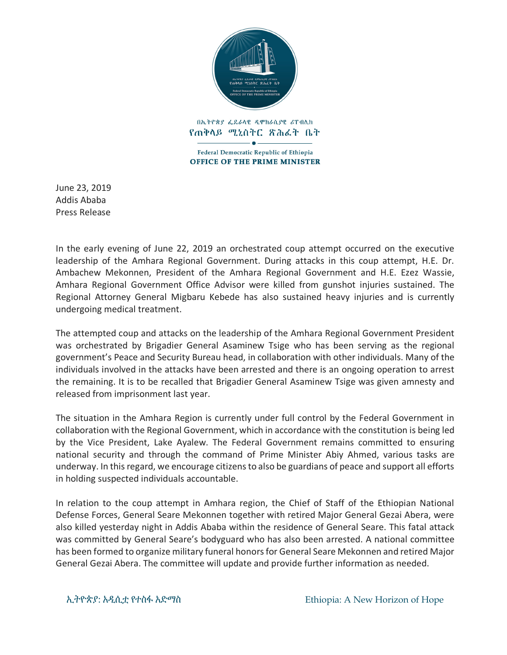

በኢትዮጵያ ፌዴራላዊ ዲሞክራሲያዊ ሪፐብሊክ የጠቅላይ ሚኒስትር ጽሕፈት ቤት

 $\bullet$ Federal Democratic Republic of Ethiopia **OFFICE OF THE PRIME MINISTER** 

June 23, 2019 Addis Ababa Press Release

In the early evening of June 22, 2019 an orchestrated coup attempt occurred on the executive leadership of the Amhara Regional Government. During attacks in this coup attempt, H.E. Dr. Ambachew Mekonnen, President of the Amhara Regional Government and H.E. Ezez Wassie, Amhara Regional Government Office Advisor were killed from gunshot injuries sustained. The Regional Attorney General Migbaru Kebede has also sustained heavy injuries and is currently undergoing medical treatment.

The attempted coup and attacks on the leadership of the Amhara Regional Government President was orchestrated by Brigadier General Asaminew Tsige who has been serving as the regional government's Peace and Security Bureau head, in collaboration with other individuals. Many of the individuals involved in the attacks have been arrested and there is an ongoing operation to arrest the remaining. It is to be recalled that Brigadier General Asaminew Tsige was given amnesty and released from imprisonment last year.

The situation in the Amhara Region is currently under full control by the Federal Government in collaboration with the Regional Government, which in accordance with the constitution is being led by the Vice President, Lake Ayalew. The Federal Government remains committed to ensuring national security and through the command of Prime Minister Abiy Ahmed, various tasks are underway. In this regard, we encourage citizens to also be guardians of peace and support all efforts in holding suspected individuals accountable.

In relation to the coup attempt in Amhara region, the Chief of Staff of the Ethiopian National Defense Forces, General Seare Mekonnen together with retired Major General Gezai Abera, were also killed yesterday night in Addis Ababa within the residence of General Seare. This fatal attack was committed by General Seare's bodyguard who has also been arrested. A national committee has been formed to organize military funeral honors for General Seare Mekonnen and retired Major General Gezai Abera. The committee will update and provide further information as needed.